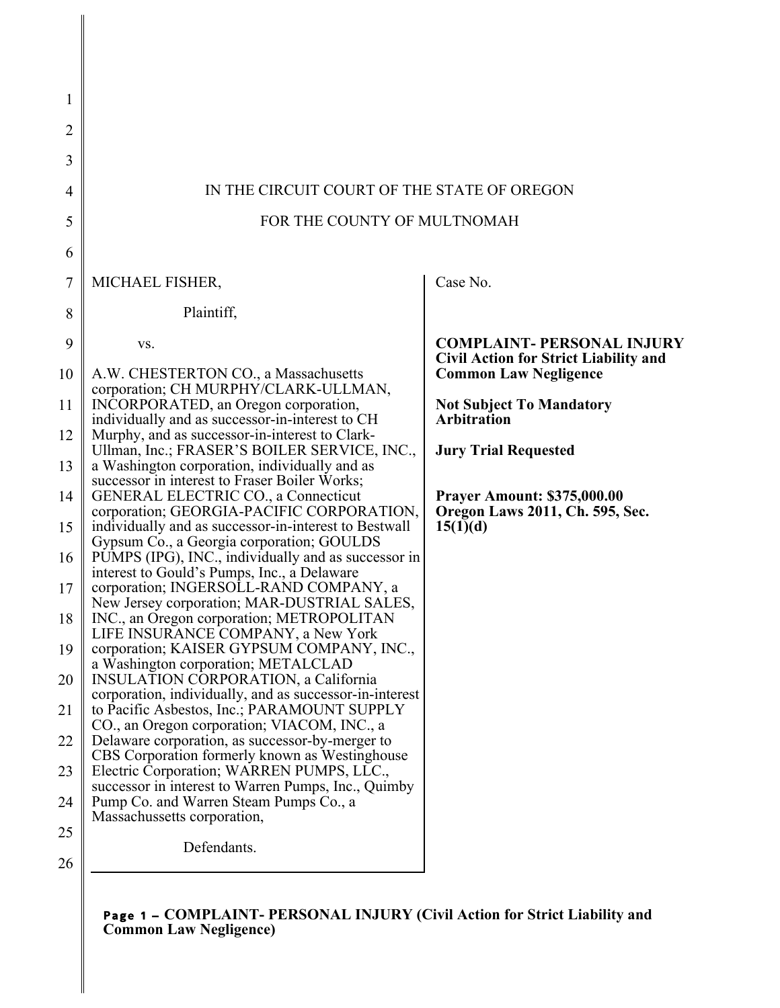| 1        |                                                                                                                                 |                                                                                                                   |  |
|----------|---------------------------------------------------------------------------------------------------------------------------------|-------------------------------------------------------------------------------------------------------------------|--|
| 2        |                                                                                                                                 |                                                                                                                   |  |
| 3        |                                                                                                                                 |                                                                                                                   |  |
| 4        | IN THE CIRCUIT COURT OF THE STATE OF OREGON                                                                                     |                                                                                                                   |  |
| 5        | FOR THE COUNTY OF MULTNOMAH                                                                                                     |                                                                                                                   |  |
| 6        |                                                                                                                                 |                                                                                                                   |  |
| 7        | MICHAEL FISHER,                                                                                                                 | Case No.                                                                                                          |  |
| 8        | Plaintiff,                                                                                                                      |                                                                                                                   |  |
| 9<br>10  | VS.<br>A.W. CHESTERTON CO., a Massachusetts                                                                                     | <b>COMPLAINT- PERSONAL INJURY</b><br><b>Civil Action for Strict Liability and</b><br><b>Common Law Negligence</b> |  |
| 11       | corporation; CH MURPHY/CLARK-ULLMAN,<br>INCORPORATED, an Oregon corporation,<br>individually and as successor-in-interest to CH | <b>Not Subject To Mandatory</b><br><b>Arbitration</b>                                                             |  |
| 12       | Murphy, and as successor-in-interest to Clark-<br>Ullman, Inc.; FRASER'S BOILER SERVICE, INC.,                                  | <b>Jury Trial Requested</b>                                                                                       |  |
| 13       | a Washington corporation, individually and as<br>successor in interest to Fraser Boiler Works;                                  |                                                                                                                   |  |
| 14       | <b>GENERAL ELECTRIC CO., a Connecticut</b><br>corporation; GEORGIA-PACIFIC CORPORATION,                                         | <b>Prayer Amount: \$375,000.00</b><br>Oregon Laws 2011, Ch. 595, Sec.                                             |  |
| 15       | individually and as successor-in-interest to Bestwall<br>Gypsum Co., a Georgia corporation; GOULDS                              | 15(1)(d)                                                                                                          |  |
| 16       | PUMPS (IPG), INC., individually and as successor in<br>interest to Gould's Pumps, Inc., a Delaware                              |                                                                                                                   |  |
| 17       | corporation; INGERSOLL-RAND COMPANY, a<br>New Jersey corporation; MAR-DUSTRIAL SALES,                                           |                                                                                                                   |  |
| 18       | INC., an Oregon corporation; METROPOLITAN<br>LIFE INSURANCE COMPANY, a New York<br>corporation; KAISER GYPSUM COMPANY, INC.,    |                                                                                                                   |  |
| 19       | a Washington corporation; METALCLAD<br><b>INSULATION CORPORATION, a California</b>                                              |                                                                                                                   |  |
| 20       | corporation, individually, and as successor-in-interest<br>to Pacific Asbestos, Inc.; PARAMOUNT SUPPLY                          |                                                                                                                   |  |
| 21       | CO., an Oregon corporation; VIACOM, INC., a<br>Delaware corporation, as successor-by-merger to                                  |                                                                                                                   |  |
| 22       | CBS Corporation formerly known as Westinghouse<br>Electric Corporation; WARREN PUMPS, LLC.,                                     |                                                                                                                   |  |
| 23       | successor in interest to Warren Pumps, Inc., Quimby<br>Pump Co. and Warren Steam Pumps Co., a                                   |                                                                                                                   |  |
| 24<br>25 | Massachussetts corporation,                                                                                                     |                                                                                                                   |  |
| 26       | Defendants.                                                                                                                     |                                                                                                                   |  |
|          |                                                                                                                                 |                                                                                                                   |  |

Page 1 – **COMPLAINT- PERSONAL INJURY (Civil Action for Strict Liability and Common Law Negligence)**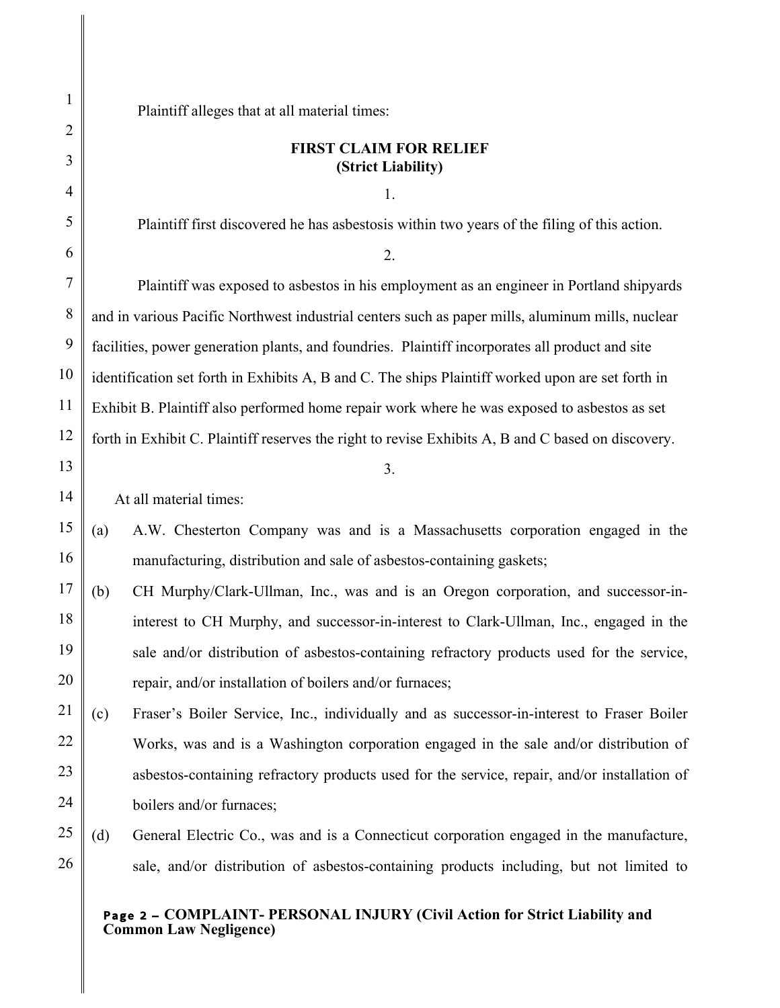Plaintiff alleges that at all material times:

# **FIRST CLAIM FOR RELIEF (Strict Liability)**

1.

Plaintiff first discovered he has asbestosis within two years of the filing of this action.

### 2.

Plaintiff was exposed to asbestos in his employment as an engineer in Portland shipyards and in various Pacific Northwest industrial centers such as paper mills, aluminum mills, nuclear facilities, power generation plants, and foundries. Plaintiff incorporates all product and site identification set forth in Exhibits A, B and C. The ships Plaintiff worked upon are set forth in Exhibit B. Plaintiff also performed home repair work where he was exposed to asbestos as set forth in Exhibit C. Plaintiff reserves the right to revise Exhibits A, B and C based on discovery.

# At all material times:

(a) A.W. Chesterton Company was and is a Massachusetts corporation engaged in the manufacturing, distribution and sale of asbestos-containing gaskets;

3.

- 18 19 20 (b) CH Murphy/Clark-Ullman, Inc., was and is an Oregon corporation, and successor-ininterest to CH Murphy, and successor-in-interest to Clark-Ullman, Inc., engaged in the sale and/or distribution of asbestos-containing refractory products used for the service, repair, and/or installation of boilers and/or furnaces;
- 22 23 24 (c) Fraser's Boiler Service, Inc., individually and as successor-in-interest to Fraser Boiler Works, was and is a Washington corporation engaged in the sale and/or distribution of asbestos-containing refractory products used for the service, repair, and/or installation of boilers and/or furnaces;
- 26 (d) General Electric Co., was and is a Connecticut corporation engaged in the manufacture, sale, and/or distribution of asbestos-containing products including, but not limited to

## Page 2 – **COMPLAINT- PERSONAL INJURY (Civil Action for Strict Liability and Common Law Negligence)**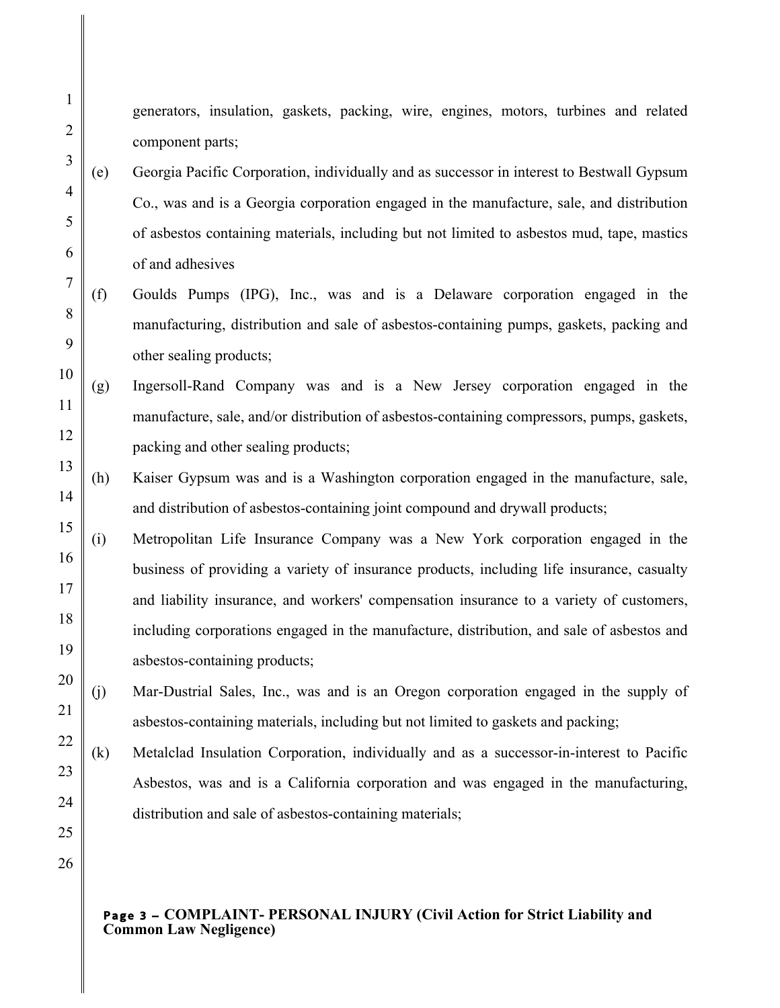generators, insulation, gaskets, packing, wire, engines, motors, turbines and related component parts;

- (e) Georgia Pacific Corporation, individually and as successor in interest to Bestwall Gypsum Co., was and is a Georgia corporation engaged in the manufacture, sale, and distribution of asbestos containing materials, including but not limited to asbestos mud, tape, mastics of and adhesives
- (f) Goulds Pumps (IPG), Inc., was and is a Delaware corporation engaged in the manufacturing, distribution and sale of asbestos-containing pumps, gaskets, packing and other sealing products;
- (g) Ingersoll-Rand Company was and is a New Jersey corporation engaged in the manufacture, sale, and/or distribution of asbestos-containing compressors, pumps, gaskets, packing and other sealing products;
- (h) Kaiser Gypsum was and is a Washington corporation engaged in the manufacture, sale, and distribution of asbestos-containing joint compound and drywall products;
- (i) Metropolitan Life Insurance Company was a New York corporation engaged in the business of providing a variety of insurance products, including life insurance, casualty and liability insurance, and workers' compensation insurance to a variety of customers, including corporations engaged in the manufacture, distribution, and sale of asbestos and asbestos-containing products;
- (j) Mar-Dustrial Sales, Inc., was and is an Oregon corporation engaged in the supply of asbestos-containing materials, including but not limited to gaskets and packing;
- (k) Metalclad Insulation Corporation, individually and as a successor-in-interest to Pacific Asbestos, was and is a California corporation and was engaged in the manufacturing, distribution and sale of asbestos-containing materials;
- 
- Page 3 **COMPLAINT- PERSONAL INJURY (Civil Action for Strict Liability and Common Law Negligence)**

1

2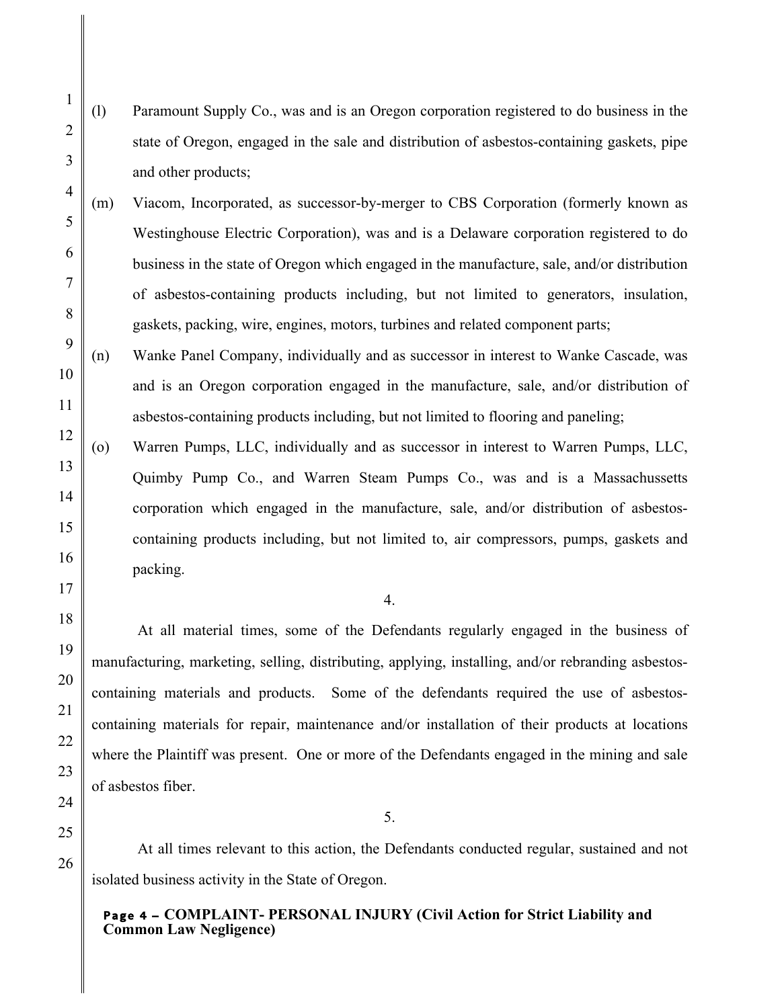(l) Paramount Supply Co., was and is an Oregon corporation registered to do business in the state of Oregon, engaged in the sale and distribution of asbestos-containing gaskets, pipe and other products;

- (m) Viacom, Incorporated, as successor-by-merger to CBS Corporation (formerly known as Westinghouse Electric Corporation), was and is a Delaware corporation registered to do business in the state of Oregon which engaged in the manufacture, sale, and/or distribution of asbestos-containing products including, but not limited to generators, insulation, gaskets, packing, wire, engines, motors, turbines and related component parts;
- (n) Wanke Panel Company, individually and as successor in interest to Wanke Cascade, was and is an Oregon corporation engaged in the manufacture, sale, and/or distribution of asbestos-containing products including, but not limited to flooring and paneling;
- (o) Warren Pumps, LLC, individually and as successor in interest to Warren Pumps, LLC, Quimby Pump Co., and Warren Steam Pumps Co., was and is a Massachussetts corporation which engaged in the manufacture, sale, and/or distribution of asbestoscontaining products including, but not limited to, air compressors, pumps, gaskets and packing.

#### 4.

At all material times, some of the Defendants regularly engaged in the business of manufacturing, marketing, selling, distributing, applying, installing, and/or rebranding asbestoscontaining materials and products. Some of the defendants required the use of asbestoscontaining materials for repair, maintenance and/or installation of their products at locations where the Plaintiff was present. One or more of the Defendants engaged in the mining and sale of asbestos fiber.

At all times relevant to this action, the Defendants conducted regular, sustained and not isolated business activity in the State of Oregon.

5.

# Page 4 – **COMPLAINT- PERSONAL INJURY (Civil Action for Strict Liability and Common Law Negligence)**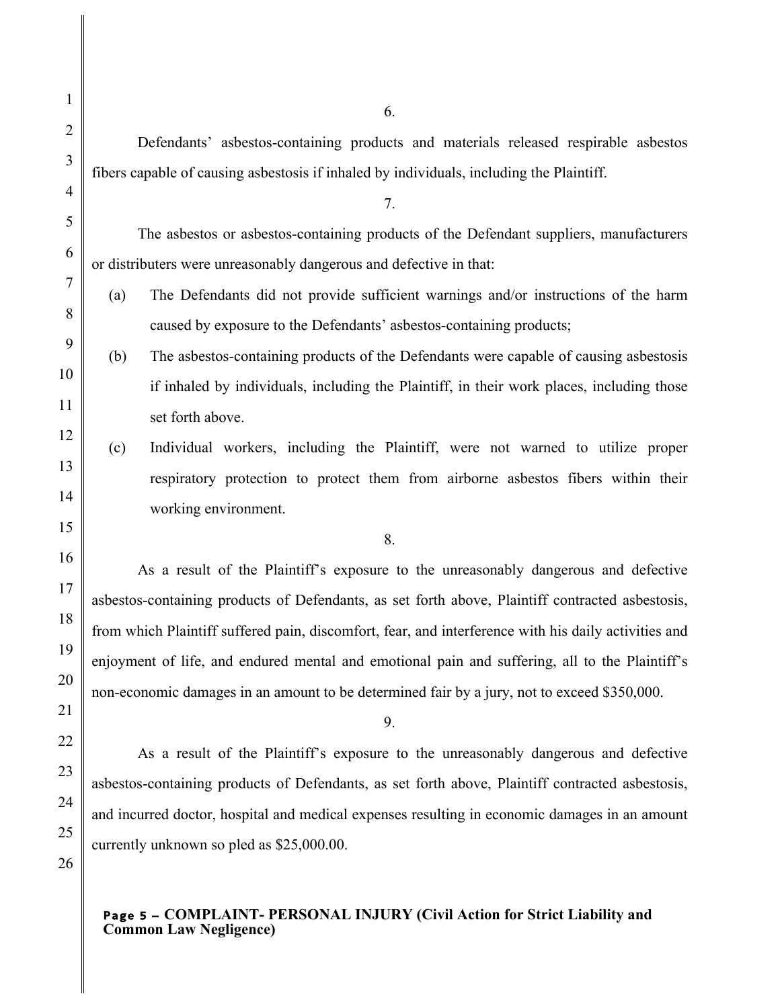Defendants' asbestos-containing products and materials released respirable asbestos fibers capable of causing asbestosis if inhaled by individuals, including the Plaintiff.

The asbestos or asbestos-containing products of the Defendant suppliers, manufacturers or distributers were unreasonably dangerous and defective in that:

7.

- (a) The Defendants did not provide sufficient warnings and/or instructions of the harm caused by exposure to the Defendants' asbestos-containing products;
- (b) The asbestos-containing products of the Defendants were capable of causing asbestosis if inhaled by individuals, including the Plaintiff, in their work places, including those set forth above.
- (c) Individual workers, including the Plaintiff, were not warned to utilize proper respiratory protection to protect them from airborne asbestos fibers within their working environment.
	- 8.

As a result of the Plaintiff's exposure to the unreasonably dangerous and defective asbestos-containing products of Defendants, as set forth above, Plaintiff contracted asbestosis, from which Plaintiff suffered pain, discomfort, fear, and interference with his daily activities and enjoyment of life, and endured mental and emotional pain and suffering, all to the Plaintiff's non-economic damages in an amount to be determined fair by a jury, not to exceed \$350,000.

9.

As a result of the Plaintiff's exposure to the unreasonably dangerous and defective asbestos-containing products of Defendants, as set forth above, Plaintiff contracted asbestosis, and incurred doctor, hospital and medical expenses resulting in economic damages in an amount currently unknown so pled as \$25,000.00.

# Page 5 – **COMPLAINT- PERSONAL INJURY (Civil Action for Strict Liability and Common Law Negligence)**

6.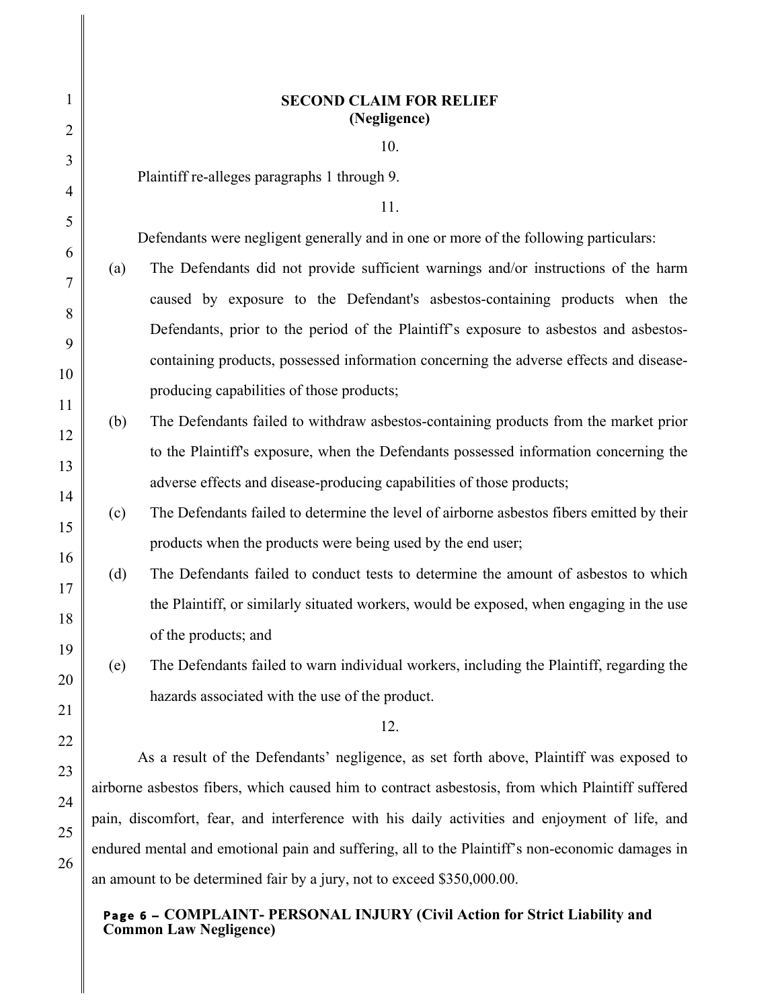| 1              | <b>SECOND CLAIM FOR RELIEF</b><br>(Negligence)                                                   |                                                                                           |
|----------------|--------------------------------------------------------------------------------------------------|-------------------------------------------------------------------------------------------|
| $\overline{2}$ |                                                                                                  | 10.                                                                                       |
| 3              | Plaintiff re-alleges paragraphs 1 through 9.                                                     |                                                                                           |
| $\overline{4}$ |                                                                                                  | 11.                                                                                       |
| 5              |                                                                                                  | Defendants were negligent generally and in one or more of the following particulars:      |
| 6<br>7         | (a)                                                                                              | The Defendants did not provide sufficient warnings and/or instructions of the harm        |
| 8              |                                                                                                  | caused by exposure to the Defendant's asbestos-containing products when the               |
| 9              |                                                                                                  | Defendants, prior to the period of the Plaintiff's exposure to asbestos and asbestos-     |
| 10             |                                                                                                  | containing products, possessed information concerning the adverse effects and disease-    |
| 11             |                                                                                                  | producing capabilities of those products;                                                 |
| 12             | (b)                                                                                              | The Defendants failed to withdraw asbestos-containing products from the market prior      |
| 13             |                                                                                                  | to the Plaintiff's exposure, when the Defendants possessed information concerning the     |
| 14             |                                                                                                  | adverse effects and disease-producing capabilities of those products;                     |
| 15             | (c)                                                                                              | The Defendants failed to determine the level of airborne asbestos fibers emitted by their |
| 16             |                                                                                                  | products when the products were being used by the end user;                               |
| 17             | (d)                                                                                              | The Defendants failed to conduct tests to determine the amount of asbestos to which       |
| 18             |                                                                                                  | the Plaintiff, or similarly situated workers, would be exposed, when engaging in the use  |
| 19             |                                                                                                  | of the products; and                                                                      |
| 20             | (e)                                                                                              | The Defendants failed to warn individual workers, including the Plaintiff, regarding the  |
| 21             | hazards associated with the use of the product.                                                  |                                                                                           |
| 22             |                                                                                                  | 12.                                                                                       |
| 23             | As a result of the Defendants' negligence, as set forth above, Plaintiff was exposed to          |                                                                                           |
| 24             | airborne asbestos fibers, which caused him to contract asbestosis, from which Plaintiff suffered |                                                                                           |
| 25             | pain, discomfort, fear, and interference with his daily activities and enjoyment of life, and    |                                                                                           |
| 26             | endured mental and emotional pain and suffering, all to the Plaintiff's non-economic damages in  |                                                                                           |
|                | an amount to be determined fair by a jury, not to exceed \$350,000.00.                           |                                                                                           |

## Page 6 – **COMPLAINT- PERSONAL INJURY (Civil Action for Strict Liability and Common Law Negligence)**